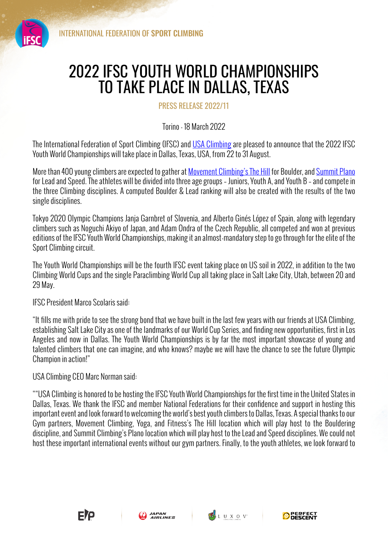

## 2022 IFSC YOUTH WORLD CHAMPIONSHIPS TO TAKE PLACE IN DALLAS, TEXAS

PRESS RELEASE 2022/11

Torino - 18 March 2022

The International Federation of Sport Climbing (IFSC) and USA Climbing are pleased to announce that the 2022 IFSC Youth World Championships will take place in Dallas, Texas, USA, from 22 to 31 August.

More than 400 young climbers are expected to gather at Movement Climbing's The Hill for Boulder, and Summit Plano for Lead and Speed. The athletes will be divided into three age groups – Juniors, Youth A, and Youth B – and compete in the three Climbing disciplines. A computed Boulder & Lead ranking will also be created with the results of the two single disciplines.

Tokyo 2020 Olympic Champions Janja Garnbret of Slovenia, and Alberto Ginés López of Spain, along with legendary climbers such as Noguchi Akiyo of Japan, and Adam Ondra of the Czech Republic, all competed and won at previous editions of the IFSC Youth World Championships, making it an almost-mandatory step to go through for the elite of the Sport Climbing circuit.

The Youth World Championships will be the fourth IFSC event taking place on US soil in 2022, in addition to the two Climbing World Cups and the single Paraclimbing World Cup all taking place in Salt Lake City, Utah, between 20 and 29 May.

IFSC President Marco Scolaris said:

"It fills me with pride to see the strong bond that we have built in the last few years with our friends at USA Climbing, establishing Salt Lake City as one of the landmarks of our World Cup Series, and finding new opportunities, first in Los Angeles and now in Dallas. The Youth World Championships is by far the most important showcase of young and talented climbers that one can imagine, and who knows? maybe we will have the chance to see the future Olympic Champion in action!"

USA Climbing CEO Marc Norman said:

""USA Climbing is honored to be hosting the IFSC Youth World Championships for the first time in the United States in Dallas, Texas. We thank the IFSC and member National Federations for their confidence and support in hosting this important event and look forward to welcoming the world's best youth climbers to Dallas, Texas. A special thanks to our Gym partners, Movement Climbing, Yoga, and Fitness's The Hill location which will play host to the Bouldering discipline, and Summit Climbing's Plano location which will play host to the Lead and Speed disciplines. We could not host these important international events without our gym partners. Finally, to the youth athletes, we look forward to